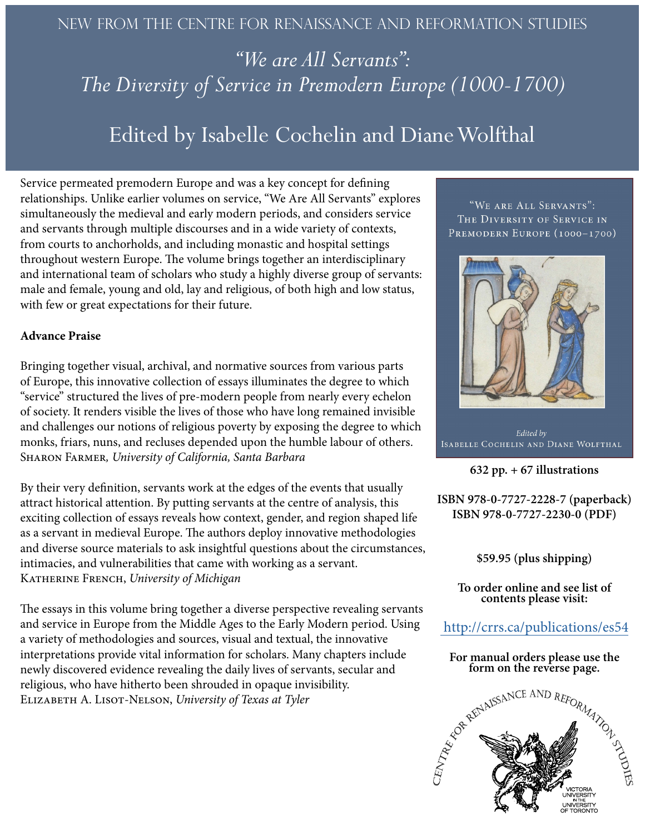## New from the centre for renaissance and reformation studies

*"We are All Servants": The Diversity of Service in Premodern Europe (1000-1700)*

## Edited by Isabelle Cochelin and Diane Wolfthal

Service permeated premodern Europe and was a key concept for defining relationships. Unlike earlier volumes on service, "We Are All Servants" explores simultaneously the medieval and early modern periods, and considers service and servants through multiple discourses and in a wide variety of contexts, from courts to anchorholds, and including monastic and hospital settings throughout western Europe. The volume brings together an interdisciplinary and international team of scholars who study a highly diverse group of servants: male and female, young and old, lay and religious, of both high and low status, with few or great expectations for their future.

## **Advance Praise**

Bringing together visual, archival, and normative sources from various parts of Europe, this innovative collection of essays illuminates the degree to which "service" structured the lives of pre-modern people from nearly every echelon of society. It renders visible the lives of those who have long remained invisible and challenges our notions of religious poverty by exposing the degree to which monks, friars, nuns, and recluses depended upon the humble labour of others. Sharon Farmer*, University of California, Santa Barbara*

By their very definition, servants work at the edges of the events that usually attract historical attention. By putting servants at the centre of analysis, this exciting collection of essays reveals how context, gender, and region shaped life as a servant in medieval Europe. The authors deploy innovative methodologies and diverse source materials to ask insightful questions about the circumstances, intimacies, and vulnerabilities that came with working as a servant. Katherine French, *University of Michigan*

The essays in this volume bring together a diverse perspective revealing servants and service in Europe from the Middle Ages to the Early Modern period. Using a variety of methodologies and sources, visual and textual, the innovative interpretations provide vital information for scholars. Many chapters include newly discovered evidence revealing the daily lives of servants, secular and religious, who have hitherto been shrouded in opaque invisibility. Elizabeth A. Lisot-Nelson, *University of Texas at Tyler*

"WE ARE ALL SERVANTS": THE DIVERSITY OF SERVICE IN PREMODERN EUROPE (1000-1700)



Edited by ISABELLE COCHELIN AND DIANE WOLFTHAL

**632 pp. + 67 illustrations**

**ISBN 978-0-7727-2228-7 (paperback) ISBN 978-0-7727-2230-0 (PDF)**

**\$59.95 (plus shipping)**

**To order online and see list of contents please visit:** 

http://crrs.ca/publications/es54

**For manual orders please use the form on the reverse page.**